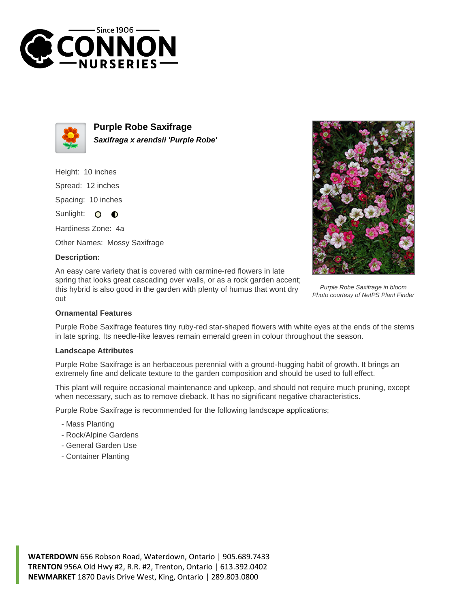



**Purple Robe Saxifrage Saxifraga x arendsii 'Purple Robe'**

Height: 10 inches Spread: 12 inches Spacing: 10 inches Sunlight: O O

Hardiness Zone: 4a

Other Names: Mossy Saxifrage

## **Description:**

An easy care variety that is covered with carmine-red flowers in late spring that looks great cascading over walls, or as a rock garden accent; this hybrid is also good in the garden with plenty of humus that wont dry out



Purple Robe Saxifrage in bloom Photo courtesy of NetPS Plant Finder

## **Ornamental Features**

Purple Robe Saxifrage features tiny ruby-red star-shaped flowers with white eyes at the ends of the stems in late spring. Its needle-like leaves remain emerald green in colour throughout the season.

## **Landscape Attributes**

Purple Robe Saxifrage is an herbaceous perennial with a ground-hugging habit of growth. It brings an extremely fine and delicate texture to the garden composition and should be used to full effect.

This plant will require occasional maintenance and upkeep, and should not require much pruning, except when necessary, such as to remove dieback. It has no significant negative characteristics.

Purple Robe Saxifrage is recommended for the following landscape applications;

- Mass Planting
- Rock/Alpine Gardens
- General Garden Use
- Container Planting

**WATERDOWN** 656 Robson Road, Waterdown, Ontario | 905.689.7433 **TRENTON** 956A Old Hwy #2, R.R. #2, Trenton, Ontario | 613.392.0402 **NEWMARKET** 1870 Davis Drive West, King, Ontario | 289.803.0800